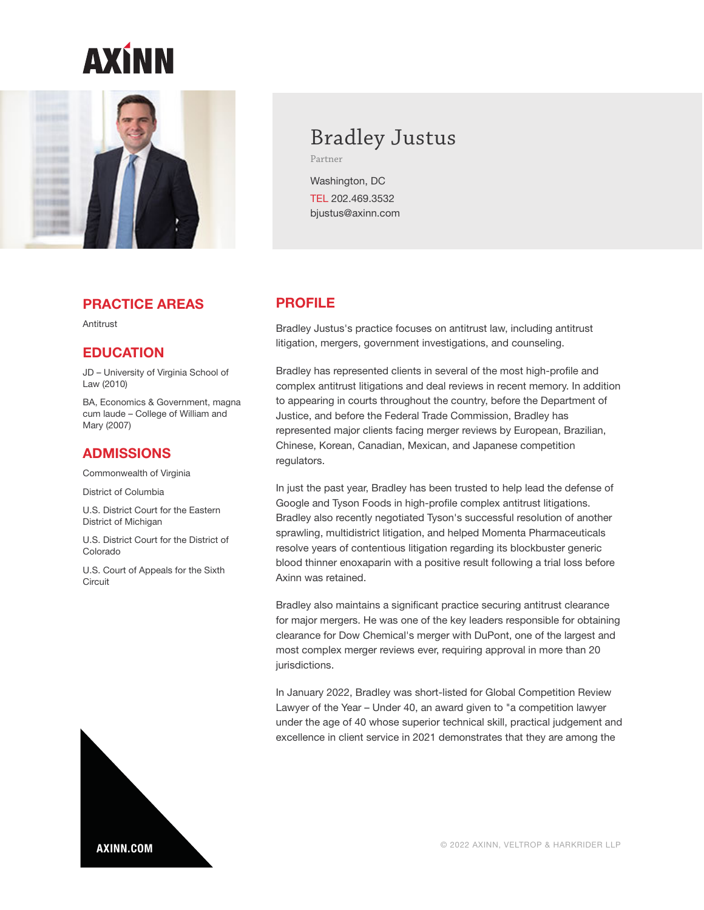

### **PRACTICE AREAS**

**Antitrust** 

### **EDUCATION**

JD – University of Virginia School of Law (2010)

BA, Economics & Government, magna cum laude – College of William and Mary (2007)

### **ADMISSIONS**

Commonwealth of Virginia

District of Columbia

U.S. District Court for the Eastern District of Michigan

U.S. District Court for the District of Colorado

U.S. Court of Appeals for the Sixth **Circuit** 

# Bradley Justus

Partner

Washington, DC TEL 202.469.3532 bjustus@axinn.com

# **PROFILE**

Bradley Justus's practice focuses on antitrust law, including antitrust litigation, mergers, government investigations, and counseling.

Bradley has represented clients in several of the most high-profile and complex antitrust litigations and deal reviews in recent memory. In addition to appearing in courts throughout the country, before the Department of Justice, and before the Federal Trade Commission, Bradley has represented major clients facing merger reviews by European, Brazilian, Chinese, Korean, Canadian, Mexican, and Japanese competition regulators.

In just the past year, Bradley has been trusted to help lead the defense of Google and Tyson Foods in high-profile complex antitrust litigations. Bradley also recently negotiated Tyson's successful resolution of another sprawling, multidistrict litigation, and helped Momenta Pharmaceuticals resolve years of contentious litigation regarding its blockbuster generic blood thinner enoxaparin with a positive result following a trial loss before Axinn was retained.

Bradley also maintains a significant practice securing antitrust clearance for major mergers. He was one of the key leaders responsible for obtaining clearance for Dow Chemical's merger with DuPont, one of the largest and most complex merger reviews ever, requiring approval in more than 20 jurisdictions.

In January 2022, Bradley was short-listed for Global Competition Review Lawyer of the Year – Under 40, an award given to "a competition lawyer under the age of 40 whose superior technical skill, practical judgement and excellence in client service in 2021 demonstrates that they are among the



© 2022 AXINN, VELTROP & HARKRIDER LLP **AXINN.COM**